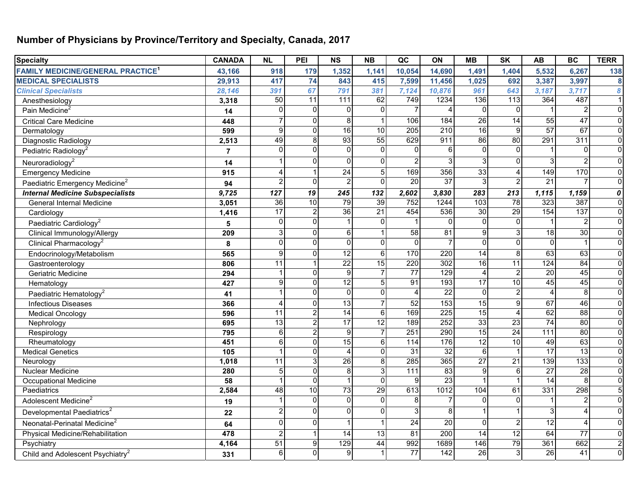## **Number of Physicians by Province/Territory and Specialty, Canada, 2017**

| <b>Specialty</b>                                    | <b>CANADA</b>  | <b>NL</b>       | PEI             | $\overline{\text{NS}}$ | N <sub>B</sub>  | $\overline{QC}$   | ON              | MB               | $\overline{\mathsf{SK}}$ | AB              | <b>BC</b>               | <b>TERR</b>      |
|-----------------------------------------------------|----------------|-----------------|-----------------|------------------------|-----------------|-------------------|-----------------|------------------|--------------------------|-----------------|-------------------------|------------------|
| <b>FAMILY MEDICINE/GENERAL PRACTICE<sup>1</sup></b> | 43,166         | 918             | 179             | 1,352                  | 1,141           | 10,054            | 14,690          | 1,491            | 1,404                    | 5,532           | 6,267                   | 138              |
| <b>MEDICAL SPECIALISTS</b>                          | 29,913         | 417             | $\overline{74}$ | 843                    | 415             | 7,599             | 11,456          | 1,025            | 692                      | 3,387           | 3,997                   | $\bf{8}$         |
| <b>Clinical Specialists</b>                         | 28,146         | 391             | 67              | 791                    | 381             | 7,124             | 10,876          | 961              | 643                      | 3,187           | 3,717                   | $\boldsymbol{8}$ |
| Anesthesiology                                      | 3,318          | $\overline{50}$ | $\overline{11}$ | $\frac{111}{111}$      | 62              | 749               | 1234            | 136              | $\frac{1}{13}$           | 364             | 487                     | $\overline{1}$   |
| Pain Medicine <sup>2</sup>                          | 14             | $\Omega$        | $\Omega$        | 0                      | $\mathbf 0$     |                   | Δ               | $\Omega$         | $\Omega$                 |                 | $\overline{2}$          | $\overline{0}$   |
| <b>Critical Care Medicine</b>                       | 448            | $\overline{7}$  | $\Omega$        | 8                      |                 | 106               | 184             | $\overline{26}$  | 14                       | 55              | 47                      | $\overline{0}$   |
| Dermatology                                         | 599            | 9               | $\Omega$        | 16                     | $\overline{10}$ | 205               | 210             | 16               | $\mathbf{q}$             | 57              | 67                      | $\mathbf 0$      |
| Diagnostic Radiology                                | 2,513          | 49              | 8               | 93                     | $\overline{55}$ | 629               | 911             | 86               | 80                       | 291             | 311                     | $\overline{0}$   |
| Pediatric Radiology <sup>2</sup>                    | $\overline{7}$ | $\Omega$        | $\Omega$        | $\Omega$               | $\mathbf 0$     | $\Omega$          | 6               | $\Omega$         | $\Omega$                 |                 | $\Omega$                | $\overline{0}$   |
| Neuroradiology <sup>2</sup>                         | 14             |                 | $\Omega$        | $\Omega$               | $\Omega$        |                   | 3               | 3                | $\Omega$                 | 3               | $\overline{2}$          | $\overline{0}$   |
| <b>Emergency Medicine</b>                           | 915            | $\overline{4}$  |                 | $\overline{24}$        | 5               | 169               | 356             | 33               |                          | 149             | 170                     | $\overline{0}$   |
| Paediatric Emergency Medicine <sup>2</sup>          | 94             | $\overline{2}$  | $\Omega$        | $\overline{2}$         | $\mathbf 0$     | 20                | $\overline{37}$ | $\overline{3}$   |                          | $\overline{21}$ | 7                       | $\overline{0}$   |
| <b>Internal Medicine Subspecialists</b>             | 9,725          | 127             | 19              | 245                    | 132             | 2,602             | 3,830           | 283              | 213                      | 1,115           | 1,159                   | $\boldsymbol{o}$ |
| <b>General Internal Medicine</b>                    | 3,051          | 36              | 10              | 79                     | 39              | 752               | 1244            | $\frac{103}{2}$  | 78                       | 323             | 387                     | $\overline{0}$   |
| Cardiology                                          | 1,416          | 17              | $\overline{2}$  | 36                     | $\overline{21}$ | 454               | 536             | 30               | 29                       | 154             | 137                     | $\overline{0}$   |
| Paediatric Cardiology <sup>2</sup>                  | 5              | $\Omega$        | $\Omega$        |                        | $\Omega$        |                   | $\Omega$        | $\Omega$         | $\Omega$                 |                 | $\overline{2}$          | $\overline{0}$   |
| Clinical Immunology/Allergy                         | 209            | 3               | $\Omega$        | 6                      |                 | 58                | 81              | $\boldsymbol{9}$ |                          | 18              | 30                      | $\overline{0}$   |
| Clinical Pharmacology <sup>2</sup>                  | 8              | $\mathbf 0$     | $\Omega$        | $\Omega$               | $\Omega$        | $\Omega$          | $\overline{7}$  | $\Omega$         | $\Omega$                 | $\Omega$        |                         | $\overline{0}$   |
| Endocrinology/Metabolism                            | 565            | 9               | $\Omega$        | $\overline{12}$        | $6\phantom{1}6$ | 170               | 220             | 14               | 8                        | 63              | 63                      | $\overline{0}$   |
| Gastroenterology                                    | 806            | 11              |                 | $\overline{22}$        | $\overline{15}$ | 220               | 302             | 16               | 11                       | 124             | $\overline{84}$         | $\overline{0}$   |
| Geriatric Medicine                                  | 294            |                 | $\Omega$        | 9                      | $\overline{7}$  | $\overline{77}$   | 129             | $\overline{4}$   | $\overline{2}$           | $\overline{20}$ | 45                      | $\overline{0}$   |
| Hematology                                          | 427            | 9               | $\Omega$        | 12                     | $\overline{5}$  | $\overline{91}$   | 193             | 17               | 10                       | 45              | 45                      | $\overline{0}$   |
| Paediatric Hematology <sup>2</sup>                  | 41             |                 | $\Omega$        | $\overline{0}$         | $\Omega$        |                   | $\overline{22}$ | $\Omega$         |                          |                 | $\overline{8}$          | $\overline{0}$   |
| <b>Infectious Diseases</b>                          | 366            | 4               | $\Omega$        | $\overline{13}$        |                 | $\overline{52}$   | 153             | $\overline{15}$  | 9                        | 67              | 46                      | $\overline{0}$   |
| <b>Medical Oncology</b>                             | 596            | $\overline{11}$ | $\overline{2}$  | $\overline{14}$        | 6               | 169               | 225             | 15               |                          | 62              | $\overline{88}$         | $\overline{0}$   |
| Nephrology                                          | 695            | 13              | $\overline{2}$  | $\overline{17}$        | $\overline{12}$ | 189               | 252             | 33               | 23                       | $\overline{74}$ | 80                      | $\overline{0}$   |
| Respirology                                         | 795            | 6               | $\overline{2}$  | $\overline{9}$         | $\overline{7}$  | 251               | 290             | 15               | 24                       | 111             | 80                      | $\overline{0}$   |
| Rheumatology                                        | 451            | 6               | $\Omega$        | 15                     | 6               | 114               | 176             | 12               | 10                       | 49              | 63                      | $\overline{0}$   |
| <b>Medical Genetics</b>                             | 105            |                 | $\Omega$        | 4                      | $\Omega$        | 31                | 32              | $6\phantom{1}$   |                          | $\overline{17}$ | $\overline{13}$         | $\overline{0}$   |
| Neurology                                           | 1,018          | $\overline{11}$ | $\overline{3}$  | 26                     | 8               | 285               | 365             | 27               | 21                       | 139             | 133                     | $\overline{0}$   |
| <b>Nuclear Medicine</b>                             | 280            | 5               | $\Omega$        | $\bf{8}$               | 3               | $\frac{111}{111}$ | 83              | $\overline{9}$   | 6                        | $\overline{27}$ | $\overline{28}$         | $\overline{0}$   |
| Occupational Medicine                               | 58             |                 | $\Omega$        |                        | $\mathbf 0$     | 9                 | 23              |                  |                          | $\overline{14}$ | 8                       | $\overline{0}$   |
| Paediatrics                                         | 2,584          | 48              | 10              | $\overline{13}$        | 29              | 613               | 1012            | 104              | 61                       | 331             | 298                     | 5 <sup>1</sup>   |
| Adolescent Medicine <sup>2</sup>                    | 19             |                 | $\Omega$        | $\Omega$               | $\Omega$        | 8                 | $\overline{7}$  | $\Omega$         | $\Omega$                 |                 | $\overline{c}$          | $\overline{0}$   |
| Developmental Paediatrics <sup>2</sup>              | 22             | $\overline{2}$  | $\Omega$        | $\Omega$               | $\Omega$        | 3                 | 8               |                  |                          | 3               | $\overline{4}$          | $\overline{0}$   |
| Neonatal-Perinatal Medicine <sup>2</sup>            | 64             | $\Omega$        | ΩI              |                        |                 | $\overline{24}$   | 20              | $\Omega$         |                          | 12              | $\overline{\mathbf{4}}$ | $\overline{0}$   |
| Physical Medicine/Rehabilitation                    | 478            | $\overline{2}$  |                 | 14                     | $\overline{13}$ | $\overline{81}$   | 200             | $\overline{14}$  | 12                       | 64              | $\overline{77}$         | $\overline{0}$   |
| Psychiatry                                          | 4,164          | 51              | 9 <sup>1</sup>  | 129                    | 44              | 992               | 1689            | 146              | 79                       | 361             | 662                     | $\mathbf{2}$     |
| Child and Adolescent Psychiatry <sup>2</sup>        | 331            | 6               | $\Omega$        | 9                      |                 | $\overline{77}$   | 142             | $\overline{26}$  |                          | 26              | 41                      | $\overline{0}$   |